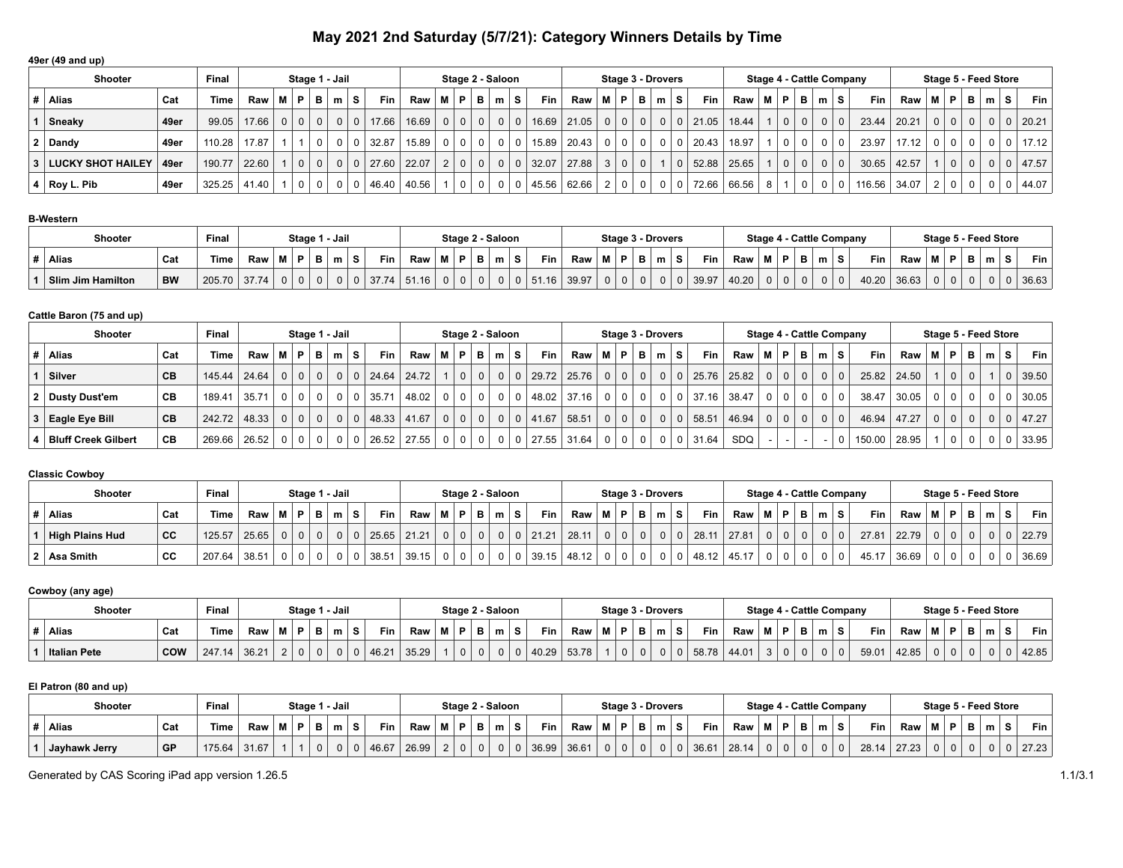# **May 2021 2nd Saturday (5/7/21): Category Winners Details by Time**

| 49er (49 and up)           |      |        |            |   |                |          |        |                   |                                        |          |                  |                |                |                |           |       |                |                |                          |          |    |            |       |    |                |   |                |                                 |                     |                            |              |     |       |
|----------------------------|------|--------|------------|---|----------------|----------|--------|-------------------|----------------------------------------|----------|------------------|----------------|----------------|----------------|-----------|-------|----------------|----------------|--------------------------|----------|----|------------|-------|----|----------------|---|----------------|---------------------------------|---------------------|----------------------------|--------------|-----|-------|
| <b>Shooter</b>             |      | Final  |            |   | Stage 1 - Jail |          |        |                   |                                        |          | Stage 2 - Saloon |                |                |                |           |       |                |                | <b>Stage 3 - Drovers</b> |          |    |            |       |    |                |   |                | <b>Stage 4 - Cattle Company</b> |                     | Stage 5 - Feed Store       |              |     |       |
| Alias                      | Cat  | Time   | <b>Raw</b> | M | P.             | в        | m      | S.                | <b>Fin</b><br>$Raw \mid M \mid P \mid$ |          |                  | BI             | m              | s l            | Fin       | Raw   | $M$ P          |                | в                        | m        | S. | <b>Fin</b> | Raw   | мI | P I            | в | m <sub>1</sub> | Fin  <br>s.                     | $Raw \mid M \mid P$ |                            | в            | m S | Fin   |
| Sneaky                     | 49er | 99.05  | 17.66      |   | 0   0          | $\Omega$ |        | 17.66<br>$\Omega$ | 16.69                                  | $\Omega$ | $\Omega$         | 0 <sup>1</sup> | $\Omega$       | 0 <sup>1</sup> | 16.69     | 21.05 |                | 0 <sup>0</sup> | $\mathbf{0}$             | $\Omega$ |    | 21.05      | 18.44 |    | 0 <sup>1</sup> |   | 0 <sup>0</sup> | 23.44                           | 20.21               | 0 <sup>0</sup>             | $\mathbf{0}$ |     | 20.21 |
| $2$ Dandy                  | 49er | 110.28 | 17.87      |   |                | $\Omega$ |        | 32.87             | 15.89                                  |          | $\Omega$         | 0 <sup>1</sup> | 0              |                | 15.89     | 20.43 | 0 <sup>1</sup> | $\Omega$       | $\mathbf 0$              | $\Omega$ |    | 20.43      | 18.97 |    | 0 <sup>1</sup> |   | $0$   0        | 23.97                           | 17.12               | $\Omega$                   | $\Omega$     |     | 17.12 |
| <b>LUCKY SHOT HAILEY</b>   | 49er | 190.77 | 22.60      |   | 0 <sup>1</sup> | $\Omega$ | $01$ 0 | 27.60             | 22.07                                  | 2        | 0 I              | 0 <sup>1</sup> | 0 <sup>1</sup> |                | 0   32.07 | 27.88 |                | 3 0            | $\mathbf 0$              |          |    | 52.88      | 25.65 |    | 0 <sup>1</sup> |   | 0 0            | 30.65                           | 42.57               | $\Omega$                   | $\Omega$     |     | 47.57 |
| $4 \mid \text{Roy L. Pib}$ | 49er | 325.25 | 41.40      |   | $\Omega$       | $\Omega$ |        | 46.40             | 40.56                                  |          |                  | 0 <sup>1</sup> |                |                | $+45.56$  | 62.66 | 2 <sup>1</sup> | 0 <sup>1</sup> | $\mathbf 0$              |          |    | 72.66      | 66.56 | 8  |                |   | 0 <sup>1</sup> | 116.56<br>$\mathbf 0$           | 34.07               | $\Omega$<br>2 <sup>1</sup> | $\mathbf 0$  |     | 44.07 |

# **B-Western**

| Shooter                  |           | Final  |       |  |     | Stage 1 - Jail |            |       |        | Stage 2 - Saloon |                         |       |     |   | Stage 3 - Drovers |       |       | Stage 4 - Cattle Company |  |          |            |       | Stage 5 - Feed Store |   |   |            |
|--------------------------|-----------|--------|-------|--|-----|----------------|------------|-------|--------|------------------|-------------------------|-------|-----|---|-------------------|-------|-------|--------------------------|--|----------|------------|-------|----------------------|---|---|------------|
| <b>Alias</b>             | Cat       | Time   | Raw   |  | . . | m              | Fin        | Raw   | <br>D. | $\sim$           | Fin                     | Raw   | IP. | - | m                 | Fin   | Raw   | в                        |  |          | <b>Fin</b> | Raw   | M   P                | Ð | m | <b>Fin</b> |
| <b>Slim Jim Hamilton</b> | <b>BW</b> | 205.70 | 37.74 |  |     |                | 37.74<br>0 | 51.16 |        |                  | .16 <sub>1</sub><br>ו כ | 39.97 |     |   |                   | 39.97 | 40.20 |                          |  | $\Omega$ | 40.20      | 36.63 |                      |   |   | 36.63      |

#### **Cattle Baron (75 and up)**

| <b>Shooter</b>             |           | Final        |       |     | Stage 1 - Jail |                |   |                   |                 | Stage 2 - Saloon |                |                |     |                       |       |                |                |                | <b>Stage 3 - Drovers</b> |    |               |             |                |                | Stage 4 - Cattle Company |                |            |            |             | Stage 5 - Feed Store |                |             |   |            |
|----------------------------|-----------|--------------|-------|-----|----------------|----------------|---|-------------------|-----------------|------------------|----------------|----------------|-----|-----------------------|-------|----------------|----------------|----------------|--------------------------|----|---------------|-------------|----------------|----------------|--------------------------|----------------|------------|------------|-------------|----------------------|----------------|-------------|---|------------|
| ∣# ∣Alias                  | Cat       | Time         | Raw I | M I | P.             | - B I          | m | Fin<br>S.         | Raw   M   P     |                  | <b>B</b> I     | ml             | . S | Fin I                 | Raw   |                | MP.            | B I            | m                        | s. | Fin           | Raw         |                | $M$ $P$        | BI                       | m              | s.         | <b>Fin</b> | Raw         | M   P                |                | В           | m | <b>Fin</b> |
| Silver                     | СB        | 145.44 24.64 |       |     | $0$   $0$      | 0 <sup>1</sup> |   | 24.64<br>$\Omega$ | 24.72           | 0 <sup>1</sup>   | 0 <sup>1</sup> |                |     | 0   0   29.72   25.76 |       |                | 0 0            | $\overline{0}$ | 0 <sup>1</sup>           |    |               | 25.76 25.82 | 0 <sup>1</sup> | 0 <sup>1</sup> | 0 <sup>1</sup>           |                | $0 \mid 0$ |            | 25.82 24.50 |                      | $\overline{0}$ | $\mathbf 0$ |   | 39.50      |
| 2 Dusty Dust'em            | CВ        | 189.41       | 35.71 |     | $0$   $0$      | 0 <sup>1</sup> |   | 35.71<br>$\Omega$ | $48.02$   0   0 |                  | $\Omega$       | $\Omega$       |     | 0   48.02   37.16     |       | 0 <sup>1</sup> | $\Omega$       | $\overline{0}$ | $\Omega$                 |    | $37.16$ 38.47 |             |                | $\mathbf{0}$   | 0                        | 0              | $\Omega$   | 38.47      | 30.05       |                      | $01$ 0         | $\Omega$    |   | 30.05      |
| <b>Eagle Eye Bill</b>      | <b>CB</b> | 242.72 48.33 |       |     | $0 \mid 0$     | 0 <sup>1</sup> |   | 48.33<br>$\Omega$ | $41.67$ 0       | 0 <sup>1</sup>   | 0 <sup>1</sup> | 0 <sup>1</sup> |     | 0   41.67             | 58.51 | 0 <sup>1</sup> | 0 <sup>1</sup> | $\overline{0}$ | $\Omega$                 |    | 58.51         | 46.94       | $\Omega$       | $\Omega$       | 0 <sup>1</sup>           | 0 <sub>1</sub> | $\Omega$   |            | 46.94 47.27 | 0 <sup>1</sup>       |                | $\Omega$    |   | 47.27      |
| <b>Bluff Creek Gilbert</b> | CB        | 269.66 26.52 |       |     | $0 \mid 0$     | 0 <sup>1</sup> |   | 26.52             | $27.55$ 0       | 0 <sup>1</sup>   | $\Omega$       |                |     | $0$   27.55           | 31.64 | 0 <sup>1</sup> | 0 <sup>1</sup> | $\mathbf 0$    |                          |    | 31.64         | <b>SDQ</b>  |                |                |                          |                | $\Omega$   | 150.00     | 28.95       |                      |                |             |   | 33.95      |

# **Classic Cowboy**

| <b>Shooter</b>         |           | Final       |       |          |          | Stage 1 - Jail |           |       |       |      |      |   | Stage 2 - Saloon |             |       |                |   | Stage 3 - Drovers |            |       |                | <b>Stage 4 - Cattle Company</b> |          |          |       |       | Stage 5 - Feed Store |          |              |            |       |
|------------------------|-----------|-------------|-------|----------|----------|----------------|-----------|-------|-------|------|------|---|------------------|-------------|-------|----------------|---|-------------------|------------|-------|----------------|---------------------------------|----------|----------|-------|-------|----------------------|----------|--------------|------------|-------|
| Alias                  | Cat       | <b>Time</b> | Raw I | D        | в        | m              | $\bullet$ | Fin   | Raw   | -8.4 | - 63 | в | m                | Fin         | Raw   | <b>MP</b>      | в | m                 | <b>Fin</b> | Raw   | D.             | в                               | m        | s        | Fin.  | Raw   |                      | D        | в            | $m \mid S$ | Fin   |
| <b>High Plains Hud</b> | <b>CC</b> | 125.57      | 25.65 | 0 0 0    | $\Omega$ |                |           | 25.65 | 21.21 |      |      |   |                  | $0$   21.21 | 28.11 | 0 <sup>1</sup> |   |                   | 28.1       | 27.81 | 0 <sub>1</sub> |                                 | $\Omega$ | $\Omega$ | 27.81 | 22.79 |                      | $\Omega$ | $\mathbf{0}$ |            | 22.79 |
| 2   Asa Smith          | cс        | 207.64      | 38.51 | $\Omega$ |          |                |           | 38.51 | 39.15 |      |      |   |                  | 39.15       | 48.12 |                |   |                   |            | 45.17 |                |                                 |          | $\Omega$ | 45.17 | 36.69 |                      |          |              |            | 36.69 |

#### **Cowboy (any age)**

| <b>Shooter</b>      |            | Final  |       |          |   | Stage 1 - Jail |          |       |          | Stage 2 - Saloon |                 |       | <b>Stage 3 - Drovers</b> |     |   |       |       |     |    |   | <b>Stage 4 - Cattle Company</b> |       |   | Stage 5 - Feed Store |            |
|---------------------|------------|--------|-------|----------|---|----------------|----------|-------|----------|------------------|-----------------|-------|--------------------------|-----|---|-------|-------|-----|----|---|---------------------------------|-------|---|----------------------|------------|
| Alias               | Cat        | Time   | Raw   |          | D | в              | Fin<br>s | Raw   | D.       |                  | <b>Fin</b><br>s | Raw   |                          | - 8 | m | Fin   | Raw   | IVI | D. | m | Fin                             | Raw   | Ð | m                    | <b>Fin</b> |
| <b>Italian Pete</b> | <b>COW</b> | 247.14 | 36.21 | <u>.</u> |   |                | 46.21    | 35.29 | $\Omega$ |                  | 40.29           | 53.78 |                          |     | U | 58.78 | 44.01 |     |    |   | 59.01                           | 42.85 |   |                      | 42.85      |

# **El Patron (80 and up)**

| <b>Shooter</b> |     | Final  |       |  | Stage 1 - Jail |   |       |       |      | Stage 2 - Saloon |          |   |    |            |       |           |   |    | <b>Stage 3 - Drovers</b> |       |       |      |   | Stage 4 - Cattle Company |                  |       |      |   | Stage 5 - Feed Store |            |
|----------------|-----|--------|-------|--|----------------|---|-------|-------|------|------------------|----------|---|----|------------|-------|-----------|---|----|--------------------------|-------|-------|------|---|--------------------------|------------------|-------|------|---|----------------------|------------|
| <b>Alias</b>   | Cat | Time   | Raw   |  | m              |   | Fin   | Raw   | -8.8 |                  | в        | m | s. | <b>Fin</b> | Raw   | <b>BA</b> | P | в. | $\sim$                   | Fin   | Raw   | ים . | m |                          | Fin <sub>1</sub> | Raw   | - 13 | m |                      | <b>Fin</b> |
| Jayhawk Jerry  | GP  | 175.64 | 31.67 |  |                | 0 | 46.67 | 26.99 |      |                  | $\Omega$ |   |    | 36.99      | 36.61 |           |   |    |                          | 36.61 | 28.14 |      |   |                          | 28.14            | 27.23 |      |   |                      | 27.23      |

Generated by CAS Scoring iPad app version 1.26.5 1.1/3.1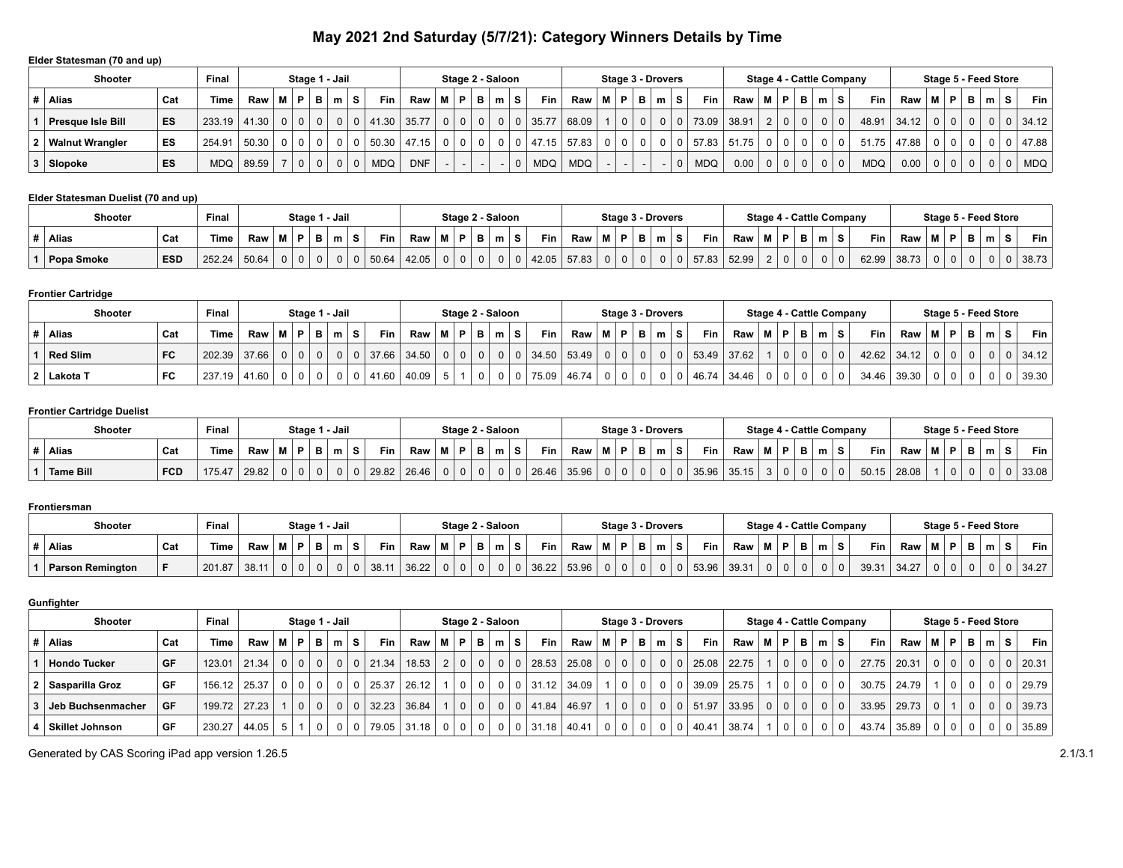# **May 2021 2nd Saturday (5/7/21): Category Winners Details by Time**

# **Elder Statesman (70 and up)**

| <b>Shooter</b>           |     | Final          |             |           |                | Stage 1 - Jail         |            |                       |            | Stage 2 - Saloon |                 |                |          |            |                     |          |                | <b>Stage 3 - Drovers</b> |              |          |            |       |                |                |   |          |          | Stage 4 - Cattle Company |       |                |                |   | Stage 5 - Feed Store |          |       |
|--------------------------|-----|----------------|-------------|-----------|----------------|------------------------|------------|-----------------------|------------|------------------|-----------------|----------------|----------|------------|---------------------|----------|----------------|--------------------------|--------------|----------|------------|-------|----------------|----------------|---|----------|----------|--------------------------|-------|----------------|----------------|---|----------------------|----------|-------|
| <b>Alias</b>             | Cat | <b>Time</b>    | Raw   M   P |           |                | $B \mid m \mid S \mid$ |            | <b>Fin</b>            | Raw        | <b>MP</b>        | $B \mid m \mid$ |                | S.       | Fin        | Raw                 |          | MPB            |                          | $\mathbf{m}$ | -S       | Fin.       | Raw   | M I            | P I            | В |          | ˈm ∣S .  | Fin I                    | Raw   | MP.            |                | B | m                    | <b>S</b> | Fin I |
| <b>Presque Isle Bill</b> | ES  | $233.19$ 41.30 |             | $0$   $0$ | $\Omega$       |                        |            | 0   0   41.30   35.77 |            | 0   0            | 0 <sup>1</sup>  | $\overline{0}$ | $\Omega$ | 135.77     | 68.09               |          | 0 <sup>1</sup> |                          |              | $\Omega$ | 73.09      | 38.91 | 2 <sup>1</sup> | $\Omega$       |   | $\Omega$ |          | 48.91                    | 34.12 | 0 <sup>1</sup> | 0 <sup>1</sup> |   |                      |          | 34.12 |
| <b>Walnut Wrangler</b>   | ES  | 254.91         | 50.30       |           |                |                        |            | $0$ 50.30 47.15       |            | $0 \mid 0$       | 0 <sup>1</sup>  | 0 <sup>1</sup> |          |            | $0$   47.15   57.83 | $\Omega$ | 0 <sup>1</sup> |                          |              |          | 57.83      | 51.75 | $\Omega$       |                |   | $\Omega$ | $\Omega$ | 51.75                    | 47.88 | $\Omega$       | 0 <sup>1</sup> |   |                      |          | 47.88 |
| Slopoke                  | ES  | <b>MDQ</b>     | 89.59       |           | 0 <sup>1</sup> | 0 I                    | <b>MDQ</b> |                       | <b>DNF</b> |                  |                 |                |          | <b>MDQ</b> | <b>MDQ</b>          |          |                |                          |              | $\Omega$ | <b>MDQ</b> | 0.00  | 0 <sup>1</sup> | 0 <sup>1</sup> |   | $\Omega$ | $\Omega$ | <b>MDQ</b>               | 0.00  | 0 <sup>1</sup> | 0 <sup>1</sup> |   |                      |          | MDQ   |

# **Elder Statesman Duelist (70 and up)**

| Shooter    |            | Final        |     | Stage 1 - Jail |              |                   |       |          | Stage 2 - Saloon |   |   |       |       |    | Stage 3 - Drovers |   |                  |       |   |                |   |   | Stage 4 - Cattle Company |       | Stage 5 - Feed Store |      |   |   |    |       |
|------------|------------|--------------|-----|----------------|--------------|-------------------|-------|----------|------------------|---|---|-------|-------|----|-------------------|---|------------------|-------|---|----------------|---|---|--------------------------|-------|----------------------|------|---|---|----|-------|
| Alias      | Cat        | <b>Time</b>  | Raw |                |              | <b>Fin</b>        | Raw   | м        |                  | в | m | Fin   | Raw   | ΙP |                   | m | Fin <sub>1</sub> | Raw   | м | D.             | в | m | Fin.                     | Raw   |                      | - 63 | D | m | -S | Fin   |
| Popa Smoke | <b>ESD</b> | 252.24 50.64 |     |                | $\mathbf{0}$ | 50.64<br>$\Omega$ | 42.05 | $\Omega$ |                  |   |   | 42.05 | 57.83 |    | $\Omega$          |   | 57.83            | 52.99 |   | $\overline{0}$ |   |   | 62.99                    | 38.73 |                      |      |   |   |    | 38.73 |

# **Frontier Cartridge**

| <b>Shooter</b>  |     | Final       |       |    |   | Stage 1 - Jail |   |          |       |   | Stage 2 - Saloon |   |       |               |     |          | Stage 3 - Drovers |       |       | Stage 4 - Cattle Company |                |             |    |            |       | Stage 5 - Feed Store |     |   |          |            |
|-----------------|-----|-------------|-------|----|---|----------------|---|----------|-------|---|------------------|---|-------|---------------|-----|----------|-------------------|-------|-------|--------------------------|----------------|-------------|----|------------|-------|----------------------|-----|---|----------|------------|
| Alias           | Cat | <b>Time</b> | Raw   | M) | P | в              | m | Fin<br>s | Raw   | P |                  | S | Fin   | Raw           | M P | в        | m                 | Fin   | Raw   |                          | <b>P</b>       |             | m. | <b>Fin</b> | Raw   | мI                   | D I | в | $m$ .    | <b>Fin</b> |
| <b>Red Slim</b> | FC  | 202.39      | 37.66 |    |   |                |   | 37.66    | 34.50 |   |                  |   |       | $34.50$ 53.49 | 0   | $\Omega$ | 0                 | 53.49 | 37.62 |                          | $\overline{0}$ | $\mathbf 0$ |    | 42.62      | 34.12 | $\mathbf{0}$         |     |   | $\Omega$ | 34.12      |
| 2 Lakota T      | FC  | 237.19      | 41.60 |    |   |                |   | 41.60    | 40.09 |   |                  |   | 75.09 | 46.74         | 0   |          |                   | 46.74 | 34.46 |                          |                |             |    | 34.46      | 39.30 |                      |     |   |          | 39.30      |

#### **Frontier Cartridge Duelist**

| Shooter          |            | Final  |       |          |   | Stage 1 - Jail |                   |       |       |             |   | Stage 2 - Saloon |   |       |       |   |   | <b>Stage 3 - Drovers</b> |       |       |    |              | Stage 4 - Cattle Company |            |       | Stage 5 - Feed Store |  |   |       |
|------------------|------------|--------|-------|----------|---|----------------|-------------------|-------|-------|-------------|---|------------------|---|-------|-------|---|---|--------------------------|-------|-------|----|--------------|--------------------------|------------|-------|----------------------|--|---|-------|
| <b>Alias</b>     | Cat        | Time   | Raw   |          | в | m              | $\mathbf{r}$<br>Ð | Fin   | Raw   | . <b>BA</b> | D |                  | s | Fin 1 | Raw   | M | P | m                        | Fin.  | Raw   | в. | P            | m                        | <b>Fin</b> | Raw   |                      |  | m | Fin   |
| <b>Tame Bill</b> | <b>FCD</b> | 175.47 | 29.82 | $\Omega$ |   |                |                   | 29.82 | 26.46 |             |   |                  |   | 26.46 | 35.96 | 0 |   |                          | 35.96 | 35.15 |    | $\mathbf{0}$ |                          | 50.15      | 28.08 |                      |  |   | 33.08 |

#### **Frontiersman**

| <b>Shooter</b>          |     | Final       |       |   | Stage 1 - Jail |              |                |            |       | Stage 2 - Saloon |    |            |            |       |           |   | Stage 3 - Drovers |            |             |         |   |    | <b>Stage 4 - Cattle Company</b> |       | Stage 5 - Feed Store |        |        |   |            |
|-------------------------|-----|-------------|-------|---|----------------|--------------|----------------|------------|-------|------------------|----|------------|------------|-------|-----------|---|-------------------|------------|-------------|---------|---|----|---------------------------------|-------|----------------------|--------|--------|---|------------|
| Alias                   | Cat | <b>Time</b> | Raw   |   | D              | $\mathbf{B}$ |                | <b>Fin</b> | Raw   | D                | в. | $m \mid S$ | <b>Fin</b> | Raw   | <b>MP</b> | в | m                 | <b>Fin</b> | Raw         | 1. D. ' |   | m. | <b>Fin</b>                      | Raw   | M I                  | . p. l | -<br>Ð | m | <b>Fin</b> |
| <b>Parson Remington</b> |     | 201.87      | 38.11 | U |                |              | 0 <sup>1</sup> | 38.11      | 36.22 | 0                |    |            | 36.22      | 53.96 | 01        |   |                   |            | 53.96 39.31 |         | 0 |    | 39.31                           | 34.27 |                      |        |        |   | 34.27      |

#### **Gunfighter**

|       | <b>Shooter</b>         |           | Final        |       |                |                | Stage 1 - Jail |                |          |                |         |                | Stage 2 - Saloon |                |                 |    |       |                                                |          | Stage 3 - Drovers      |                |       |        |                       |          |                   |                | Stage 4 - Cattle Company |            |             | Stage 5 - Feed Store |   |                |                |          |                |
|-------|------------------------|-----------|--------------|-------|----------------|----------------|----------------|----------------|----------|----------------|---------|----------------|------------------|----------------|-----------------|----|-------|------------------------------------------------|----------|------------------------|----------------|-------|--------|-----------------------|----------|-------------------|----------------|--------------------------|------------|-------------|----------------------|---|----------------|----------------|----------|----------------|
| Alias |                        | Cat       | Time         | Raw   | M              | P              | B              | m.             | s.       | <b>Fin</b>     | Raw   M |                | P                | в              | m               | S. | Fin   | $\mathsf{Raw} \mid \mathsf{M} \mid \mathsf{P}$ |          | $B \mid m \mid S \mid$ |                |       | Fin I  | Raw                   | M   P    | $B \mid m \mid S$ |                |                          | <b>Fin</b> | Raw         | м                    | P | B              | m              | s        | Fin            |
|       | <b>Hondo Tucker</b>    | GF        | 123.01       | 21.34 | 0 <sup>1</sup> | $\overline{0}$ | 0 <sup>1</sup> | 0 <sup>1</sup> |          | $0 \mid 21.34$ | 18.53   | 2 <sup>1</sup> | $\Omega$         | 0 <sup>1</sup> |                 |    |       | $28.53$   25.08   0   0                        |          | $\Omega$               |                |       |        | 0   0   25.08   22.75 | $\Omega$ | 0 <sup>1</sup>    | $\Omega$       |                          | 27.75      | 20.31       | 0 <sup>1</sup>       |   | 0 <sup>1</sup> | 0 <sup>1</sup> |          | 0   20.31      |
|       | 2 Sasparilla Groz      | GF        | 156.12 25.37 |       | 0 <sup>1</sup> |                | $\Omega$       | $\Omega$       |          | 25.37          | 26.12   |                | 0 <sup>1</sup>   |                | $0 \mid 0 \mid$ | റ  |       | $31.12$ 34.09                                  |          | $\Omega$               |                | 0   0 |        | $39.09$   25.75       | $\Omega$ | 0 <sup>1</sup>    |                |                          |            | 30.75 24.79 |                      |   | $\Omega$       | $\Omega$       | $\Omega$ | 29.79          |
|       | Jeb Buchsenmacher      | <b>GF</b> | 199.72 27.23 |       |                | $\Omega$       | $\Omega$       | $\mathbf{0}$   | $\Omega$ | 32.23          | 36.84   |                | 0 <sup>1</sup>   | $\Omega$       |                 |    | 41.84 | 46.97                                          | $\Omega$ | $\Omega$               |                |       |        | 0   0   51.97   33.95 | 0 0      | 0 <sup>1</sup>    | 0 <sub>1</sub> | $\Omega$                 |            | 33.95 29.73 | $\Omega$             |   | $\Omega$       | 0 <sup>1</sup> |          | $0 \mid 39.73$ |
|       | <b>Skillet Johnson</b> | . GF      | 230.27       | 44.05 | 5 <sup>1</sup> |                |                | $\Omega$       | $\Omega$ | 79.05          | 31.18   | 0 <sup>1</sup> | $\Omega$         | 0 <sup>1</sup> |                 |    | 31.18 | 40.41                                          |          | 0 <sup>1</sup>         | 0 <sup>1</sup> |       | 140.41 | . 38.74               |          |                   |                |                          | 43.74      | 35.89       | 0 <sup>1</sup>       |   | $\Omega$       | $\Omega$       |          | 35.89          |

Generated by CAS Scoring iPad app version 1.26.5 2.1/3.1